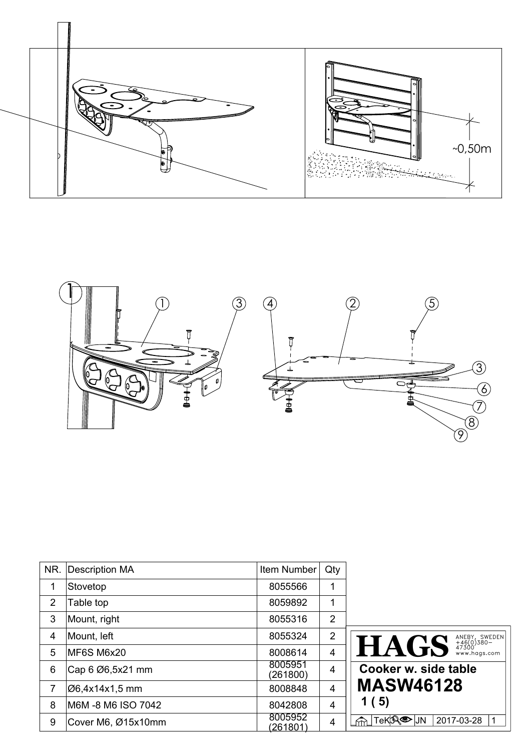



| NR. | Description MA     | Item Number                | Qty            |                                                                     |
|-----|--------------------|----------------------------|----------------|---------------------------------------------------------------------|
| 1   | Stovetop           | 8055566                    | 1              |                                                                     |
| 2   | Table top          | 8059892                    | 1              |                                                                     |
| 3   | Mount, right       | 8055316                    | $\overline{2}$ |                                                                     |
| 4   | Mount, left        | 8055324                    | 2              |                                                                     |
| 5   | MF6S M6x20         | 8008614                    | $\overline{4}$ | ANEBY, SWEDEN<br>+46(0)380-<br>47300<br>www.hags.com<br><b>HAGS</b> |
| 6   | Cap 6 Ø6,5x21 mm   | 8005951<br>(261800)        | $\overline{4}$ | Cooker w. side table                                                |
| 7   | Ø6,4x14x1,5 mm     | 8008848                    | $\overline{4}$ | <b>MASW46128</b>                                                    |
| 8   | M6M -8 M6 ISO 7042 | 8042808                    | $\overline{4}$ | 1(5)                                                                |
| 9   | Cover M6, Ø15x10mm | 8005952<br><u>(261801)</u> | 4              | ้TeK <mark>jՋ®©</mark> มง<br>2017-03-28                             |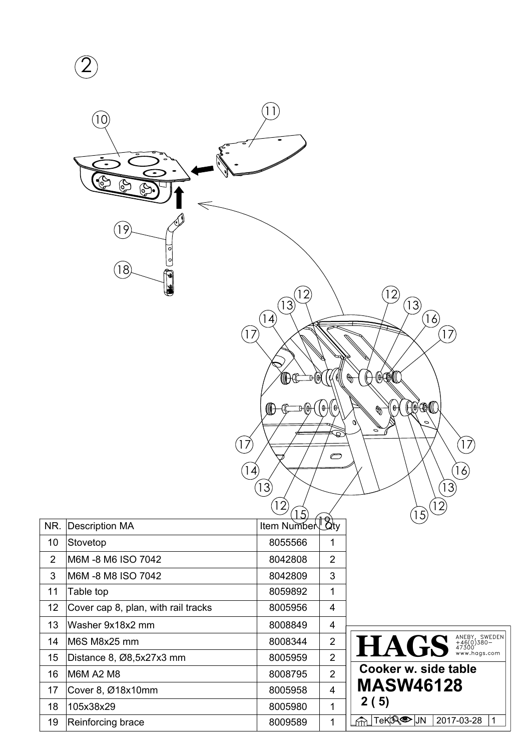|                | $\overline{0}$<br>19<br>$\circ$<br>$\circ$<br>18<br>₩<br>١ŵ | 13<br>4<br>(0)<br>W<br>17<br>$\ket{4}$<br>(13)<br>$ 2\rangle$ | $\theta$<br>⊕<br>$\circlearrowright$ | 12<br>(13)<br>$\left[16\right]$<br>17<br>TΘ(<br><br>$\theta$<br>Ф<br>$\circ$<br>o,<br>$\circ$<br>$\left(17\right)$<br>(16)<br>(13)<br>(12) |
|----------------|-------------------------------------------------------------|---------------------------------------------------------------|--------------------------------------|--------------------------------------------------------------------------------------------------------------------------------------------|
| NR.            | Description MA                                              | 15<br>Item Number $\frac{1}{2}$                               |                                      | $\left(15\right)$                                                                                                                          |
| 10             | Stovetop                                                    | 8055566                                                       | $\mathbf 1$                          |                                                                                                                                            |
| $\overline{2}$ | M6M-8 M6 ISO 7042                                           | 8042808                                                       | $\overline{2}$                       |                                                                                                                                            |
| $\mathfrak{S}$ | M6M-8 M8 ISO 7042                                           | 8042809                                                       | 3                                    |                                                                                                                                            |
| 11             | Table top                                                   | 8059892                                                       | $\mathbf{1}$                         |                                                                                                                                            |
| 12             | Cover cap 8, plan, with rail tracks                         | 8005956                                                       | $\overline{\mathbf{4}}$              |                                                                                                                                            |
| 13             | Washer 9x18x2 mm                                            | 8008849                                                       | 4                                    |                                                                                                                                            |
| 14             | M6S M8x25 mm                                                | 8008344                                                       | $\overline{c}$                       | HAGS ANEBY, SWEDEN                                                                                                                         |
| 15             | Distance 8, Ø8,5x27x3 mm                                    | 8005959                                                       | $\overline{2}$                       |                                                                                                                                            |
| 16             | M6M A2 M8                                                   | 8008795                                                       | $\overline{2}$                       | Cooker w. side table                                                                                                                       |
| 17             | Cover 8, Ø18x10mm                                           | 8005958                                                       | $\overline{\mathbf{4}}$              | <b>MASW46128</b>                                                                                                                           |
| 18             | 105x38x29                                                   | 8005980                                                       | $\mathbf{1}$                         | 2(5)                                                                                                                                       |
| 19             | Reinforcing brace                                           | 8009589                                                       | $\mathbf 1$                          | <sub>⋒</sub> ∏екҗ® Ји<br>2017-03-28<br>$\mathbf{1}$                                                                                        |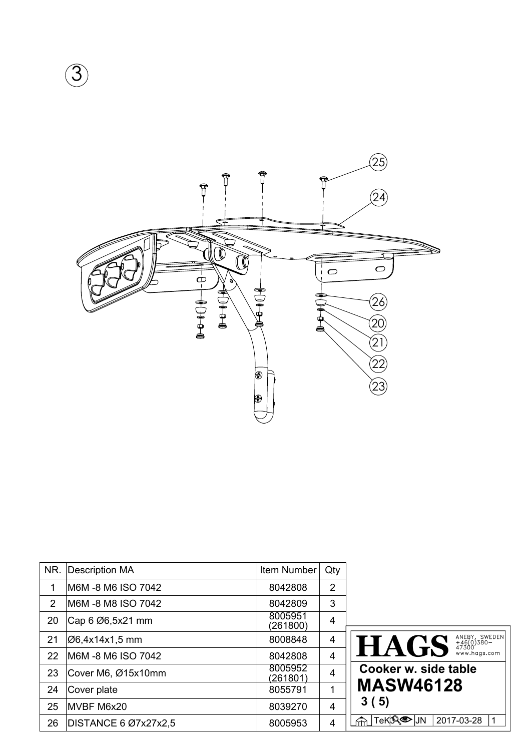

| NR. | Description MA       | Item Number                | Qty            |                                                     |
|-----|----------------------|----------------------------|----------------|-----------------------------------------------------|
|     | M6M -8 M6 ISO 7042   | 8042808                    | $\overline{2}$ |                                                     |
| 2   | M6M -8 M8 ISO 7042   | 8042809                    | 3              |                                                     |
| 20  | Cap 6 Ø6,5x21 mm     | 8005951<br>(261800)        | 4              |                                                     |
| 21  | Ø6,4x14x1,5 mm       | 8008848                    | 4              | ANEBY, SWEDEN<br>+46(0)380-<br>47300<br><b>HAGS</b> |
| 22  | M6M-8 M6 ISO 7042    | 8042808                    | $\overline{4}$ | www.hags.com                                        |
| 23  | Cover M6, Ø15x10mm   | 8005952<br><u>(261801)</u> | $\overline{4}$ | Cooker w. side table                                |
| 24  | Cover plate          | 8055791                    | 1              | <b>MASW46128</b>                                    |
| 25  | MVBF M6x20           | 8039270                    | $\overline{4}$ | 3(5)                                                |
| 26  | DISTANCE 6 Ø7x27x2,5 | 8005953                    | 4              | ∣TeK <sup>I</sup> II® ାା<br>2017-03-28              |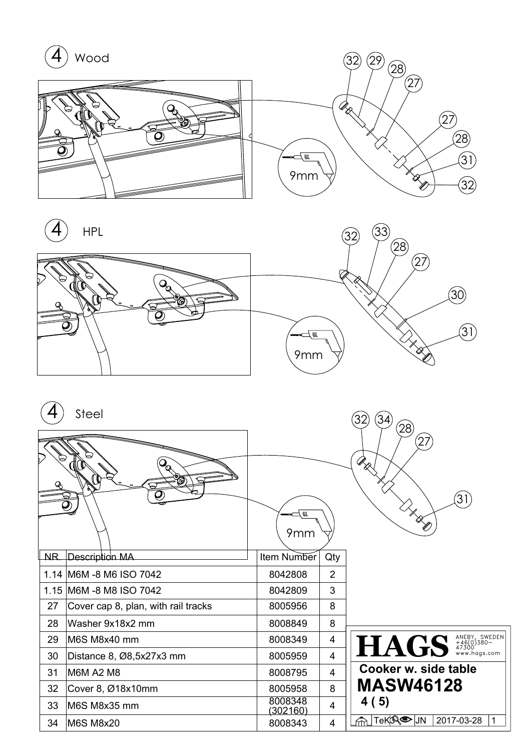



|     | Steel                               | ₩<br>9mm            |                | 28<br>27<br>$\mathscr{R}_{\!\mathscr{R}}$ ,<br>$\overline{31}$<br>$\mathbb{Z}_{\mathbb{X}_{\overline{\mathbb{X}}}}$ |
|-----|-------------------------------------|---------------------|----------------|---------------------------------------------------------------------------------------------------------------------|
| NR. | Description MA                      | Item Number         | Qty            |                                                                                                                     |
|     | 1.14 M6M -8 M6 ISO 7042             | 8042808             | $\overline{2}$ |                                                                                                                     |
|     | 1.15 M6M -8 M8 ISO 7042             | 8042809             | 3              |                                                                                                                     |
| 27  | Cover cap 8, plan, with rail tracks | 8005956             | 8              |                                                                                                                     |
| 28  | Washer 9x18x2 mm                    | 8008849             | 8              |                                                                                                                     |
| 29  | M6S M8x40 mm                        | 8008349             | 4              | HAGS <sup>ANEBY, SWEDEN</sup>                                                                                       |
| 30  | Distance 8, Ø8,5x27x3 mm            | 8005959             | 4              |                                                                                                                     |
| 31  | M6M A2 M8                           | 8008795             | 4              | Cooker w. side table                                                                                                |
| 32  | Cover 8, Ø18x10mm                   | 8005958             | 8              | <b>MASW46128</b>                                                                                                    |
| 33  | M6S M8x35 mm                        | 8008348<br>(302160) | 4              | 4 (5)                                                                                                               |
| 34  | <b>M6S M8x20</b>                    | 8008343             | 4              | TeK¦A®D¦JN<br>2017-03-28<br>1<br>⋒                                                                                  |